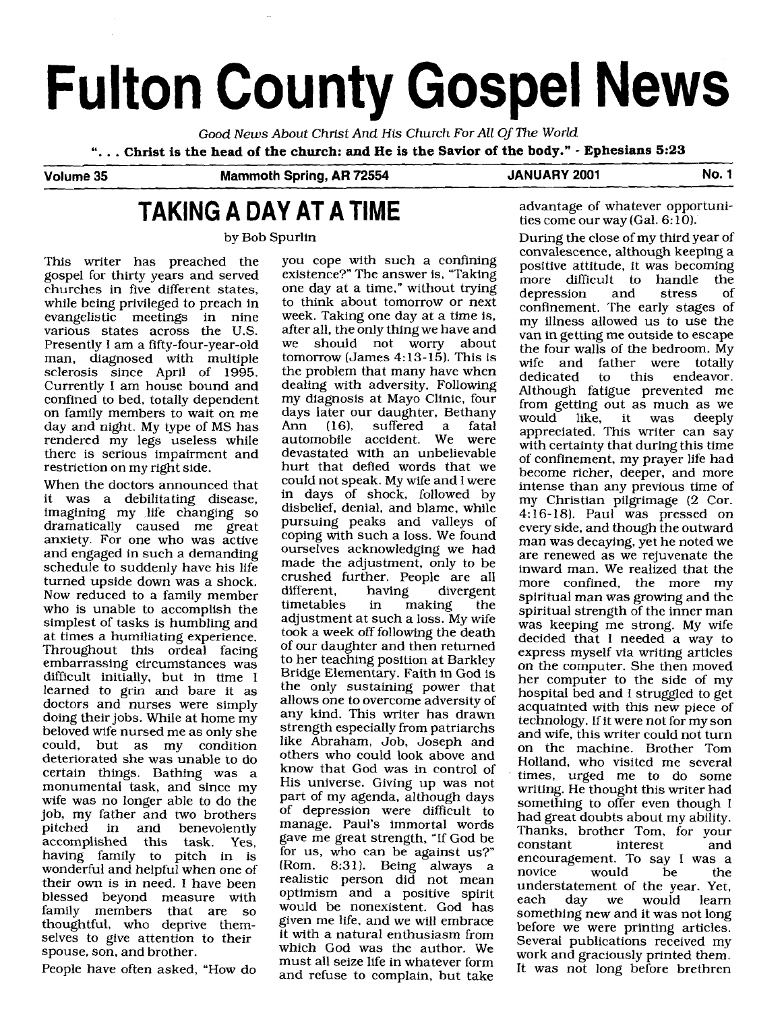# **Fulton County Gospel News**

Good *News* About Christ And His Church For *All* Of The World ". . . **Christ is the head of the church: and He is the Savior of the body."** - **Ephesians 5:23** 

Volume 35 **Mammoth Soring, AR 72554** JANUARY 2001 No. 1

## **TAKING A DAY AT A TIME** advantage of whatever opportuni-

This writer has preached the gospel for thirty years and served churches in five different states, while being privileged to preach in evangelistic meetings in nine various states across the U.S. Presently I am a fifty-four-year-old man, diagnosed with multiple sclerosis since April of 1995. Currently I am house bound and confined to bed, totally dependent on family members to wait on me day and night. My type of MS has rendered my legs useless while there is serious impairment and restriction on my right side.

When the doctors announced that it was a debilitating disease, imagining my life changing so dramatically caused me great anxiety. For one who was active and engaged in such a demanding schedule to suddenly have his life turned upside down was a shock. Now reduced to a family member who is unable to accomplish the simplest of tasks is humbling and at times a humiliating experience. Throughout this ordeal facing embarrassing circumstances was difficult initially, but in time I learned to grin and bare it as doctors and nurses were simply doing their jobs. While at home my beloved wife nursed me as only she<br>could, but as my condition but as my deteriorated she was unable to do certain things. Bathing was a monumental task, and since my wife was no longer able to do the job, my father and two brothers<br>pitched in and benevolently benevolently accomplished this task. Yes, having family to pitch in is wonderful and helpful when one of their own is in need. I have been blessed beyond measure with<br>family members that are so family members that are thoughtful, who deprive themselves to give attention to their spouse, son, and brother.

People have often asked, "How do

you cope with such a confining existence?" The answer is, "Taking one day at a time," without trying to think about tomorrow or next week. Taking one day at a time is, after all, the only thing we have and<br>we should not worry about should not worry about tomorrow (James 4:13-15). This is the problem that many have when dealing with adversity. Following my diagnosis at Mayo Clinic, four days later our daughter, Bethany<br>Ann (16), suffered a fatal suffered a fatal<br>cocident. We were automobile accident. We devastated with an unbelievable hurt that defied words that we could not speak. My wife and I were in days of shock, followed by disbelief, denial, and blame, while pursuing peaks and valleys of coping with such a loss. We found ourselves acknowledging we had made the adjustment, only to be crushed further. People are all different, having divergent<br>timetables in making the making adjustment at such a loss. My wife took a week off following the death of our daughter and then returned to her teaching position at Barkley Bridge Elementary. Faith in God is the only sustaining power that allows one to overcome adversity of any kind. This writer has drawn strength especially from patriarchs like Abraham, Job, Joseph and others who could look above and know that God was in control of His universe. Giving up was not part of my agenda, although days of depression were difficult to manage. Paul's immortal words gave me great strength, "If God be for us, who can be against us?" (Rom. 8:31). Being always a realistic person did not mean optimism and a positive spirit would be nonexistent. God has given me life, and we will embrace it with a natural enthusiasm from which God was the author. We must all seize life in whatever form and refuse to complain, but take

ties come our way (Gal. 6: 10).

by Bob Spurlin During the close of my third year of convalescence, although keeping a positive attitude, it was becoming<br>more difficult to handle the more difficult to handle the<br>depression and stress of depression confinement. The early stages of my illness allowed us to use the van in getting me outside to escape the four walls of the bedroom. My wife and father were totally<br>dedicated to this endeavor. to this endeavor. Although fatigue prevented me from getting out as much as we<br>would like, it was deeply would like, it was appreciated. This writer can say with certainty that during this time of confinement, my prayer life had become richer, deeper, and more intense than any previous time of my Christian pilgrimage (2 Cor. 4: 16-18). Paul was pressed on every side, and though the outward man was decaying, yet he noted we are renewed as we rejuvenate the inward man. We realized that the more confined, the more spiritual man was growing and the spiritual strength of the inner man was keeping me strong. My wife decided that 1 needed a way to express myself via writing articles on the computer. She then moved her computer to the side of my hospital bed and I struggled to get acquainted with this new piece of technology. If it were not for my son and wife, this writer could not turn on the machine. Brother Tom Holland, who visited me several times, urged me to do some writing. He thought this writer had something to offer even though I had great doubts about my ability. Thanks, brother Tom, for your<br>constant interest and interest and encouragement. To say I was a would be the understatement of the year. Yet, each day we would learn something new and it was not long before we were printing articles. Several publications received my work and graciously printed them. It was not long before brethren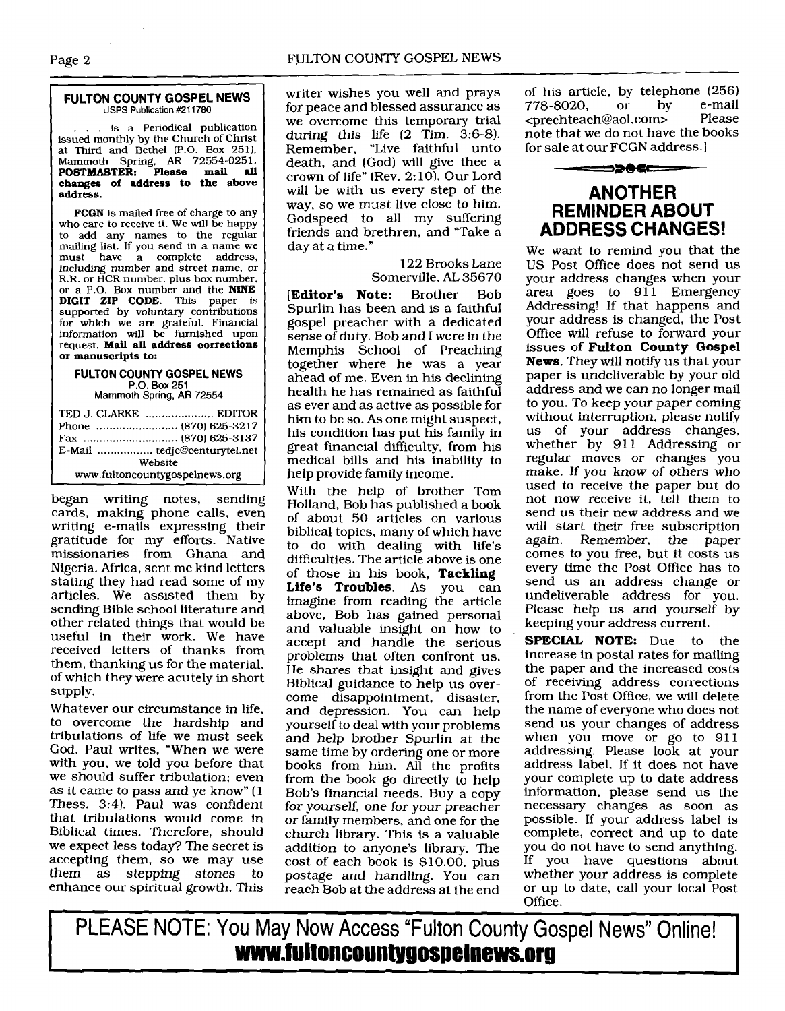#### Page 2 FULTON COUNTY GOSPEL NEWS

#### **FULTON COUNTY GOSPEL NEWS USPS Publication #211780**

... is a Periodical publication issued monthly by the Church of Christ at Third and Bethel **(P.O.** Box **2511,**  Mammoth Spring, **AR 72554-0251. POSTMASTER: Please mail all changes of address to the above address.** 

**FCGN** is mailed free of charge to any who care to receive it. We will be happy to add any names to the regular mailing list. If you send in a name we must have a complete address, including number and street name, or R.R. or HCR number, plus box number, or a P.O. Box number and the **NINE DIGIT ZIP CODE.** This paper is supported by voluntary contributions for which we are grateful. Financial information will be furnished upon request. **Mail all address corrections or manuscripts to:** 

#### **FULTON COUNTY GOSPEL NEWS P.O. Box 251 Mammoth Spring, AR 72554**

TED J. CLARKE ..................... EDITOR Phone ......................... **(870) 625-3217**  Fax ............................. **(870) 625-3137**  E-Mail ................. tedjc@centurytel.net Website www.fultoncountygospelnews.org

began writing notes, sending cards, making phone calls, even writing e-mails expressing their gratitude for my efforts. Native missionaries from Ghana and Nigeria, Africa, sent me kind letters stating they had read some of my articles. We assisted them by sending Bible school literature and other related things that would be useful in their work. We have received letters of thanks from them, thanking us for the material, of which they were acutely in short supply.

Whatever our circumstance in life, to overcome the hardship and tribulations of life we must seek God. Paul writes, "When we were with you, we told you before that we should suffer tribulation; even as it came to pass and ye know" **(1**  Thess. **3:4).** Paul was confident that tribulations would come in Biblical times. Therefore, should we expect less today? The secret is accepting them, so we may use them as stepping stones to enhance our spiritual growth. This

writer wishes you well and prays of his article, by telephone (256)<br>for peace and blessed assurance as 778-8020, or by e-mail for peace and blessed assurance as 778-8020, or by e-mail<br>we overcome this temporary trial <prechteach@aol.com> Please we overcome this temporary trial <prechteach@aol.com> Please<br>during this life (2 Tim, 3:6-8). note that we do not have the books during this life (2 Tim. **3:6-8).** note that we do not have the books Remember. "Live faithful unto for sale at our FCGN address. <sup>1</sup> death, and (God) will give thee a crown of life" (Rev. 2: **101.** Our Lord example of life" (Rev. 2:10). Our Lord<br>will be with us every step of the **ANOTHER**<br>way, so we must live close to him. **REMINDER ABOUT** way, so we must live close to him. Godspeed to all my suffering<br>friends and brethren, and "Take a **ADDRESS CHANGES!** friends and brethren, and "Take a day at *a* time."

> 122 Brooks Lane Somerville, AL 35670

**[Editor's Note:** Brother Bob Spurlin has been and is a faithful gospel preacher with a dedicated sense of duty. Bob and I were in the Memphis School of Preaching together where he was a year ahead of me. Even in his declining health he has remained as faithful as ever and as active as possible for him to be so. As one might suspect, his condition has put his family in great financial difficulty, from his medical bills and his inability to help provide family income.

With the help of brother Tom Holland, Bob has published a book of about 50 articles on various biblical topics, many of which have to do with dealing with life's difficulties. The article above is one of those in his book, **Tackling Life's Troubles. As** you can imagine from reading the article above, Bob has gained personal and valuable insight on how to accept and handle the serious problems that often confront us. He shares that insight and gives Biblical guidance to help us overcome disappointment, disaster, and depression. You can help yourself to deal with your problems and help brother Spurlin at the same time by ordering one or more books from him. All the profits from the book go directly to help Bob's financial needs. Buy a copy for yourself, one for your preacher or family members, and one for the church library. This is a valuable addition to anyone's library. The cost of each book is **\$10.00,** plus postage and handling. You can reach Bob at the address at the end

We want to remind you that the US Post Office does not send us your address changes when your area goes to 911 Emergency Addressing! If that happens and your address is changed, the Post Office will refuse to forward your issues of **Fulton County Gospel News.** They will notify us that your paper is undeliverable by your old address and we can no longer mail to you. To keep your paper coming without interruption. please notify us of your address changes, whether by 911 Addressing or regular moves or changes you make. If you know of others who used to receive the paper but do not now receive it, tell them to send us their new address and we will start their free subscription again. Remember, the paper comes to you free, but it costs us every time the Post Office has to send us an address change or undeliverable address for you. Please help us and yourself by keeping your address current.

**SPECIAL NOTE:** Due to the increase in postal rates for mailing the paper and the increased costs of receiving address corrections from the Post Office, we will delete the name of everyone who does not send us your changes of address when you move or go to 911 addressing. Please look at your address label. If it does not have your complete up to date address information, please send us the necessary changes as soon as possible. If your address label is complete, correct and up to date you do not have to send anything.<br>If you have questions about you have questions about whether your address is complete or up to date, call your local Post Office.

PLEASE NOTE: You May Now Access "Fulton County Gospel News" Online!<br>**WWW.fultoncountygospeinews.org**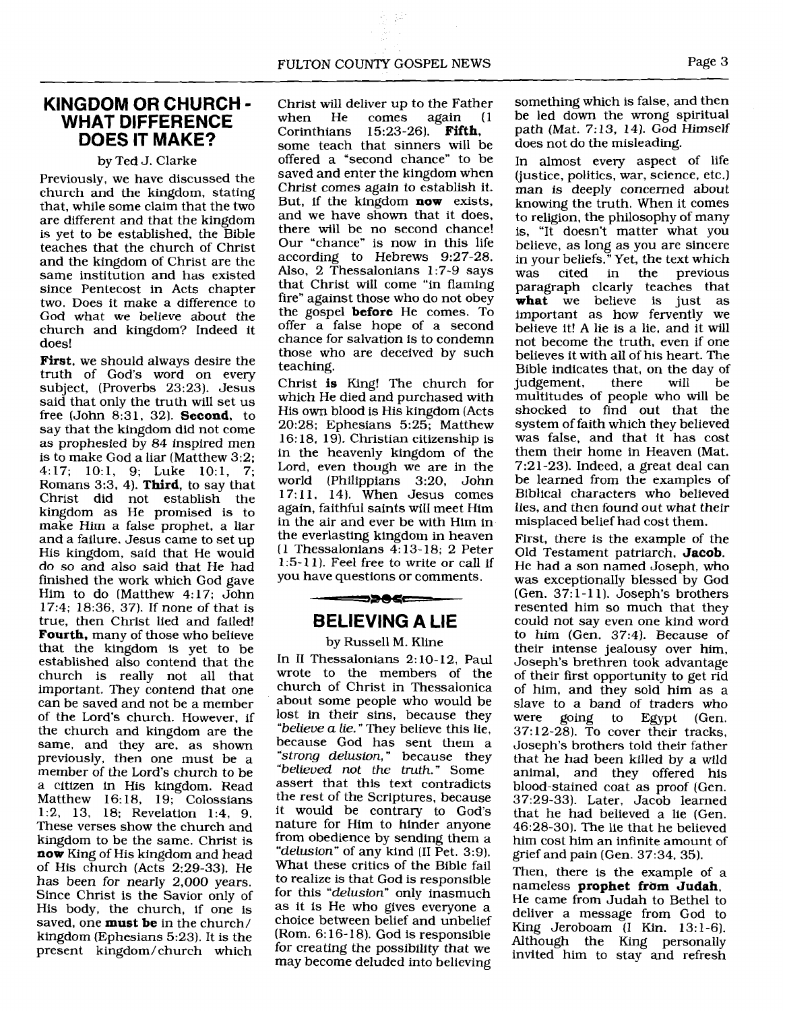#### **KINGDOM OR CHURCH** - **WHAT DIFFERENCE DOES IT MAKE?**

#### by Ted J. Clarke

Previously, we have discussed the church and the kingdom, stating that, while some claim that the two are different and that the kingdom is yet to be established, the Bible teaches that the church of Christ and the kingdom of Christ are the same institution and has existed since Pentecost in Acts chapter two. Does it make a difference to God what we believe about the church and kingdom? Indeed it does!

**First,** we should always desire the truth of God's word on every subject, (Proverbs 23:23). Jesus said that only the truth will set us free (John 8:31, 32). **Second,** to say that the kingdom did not come as prophesied by 84 inspired men is to make God a liar (Matthew 3:2; 4:17; 10:1, 9; Luke 10:1, 7; Romans 3:3, 4). **Third,** to say that Christ did not establish the kingdom as He promised is to make Him a false prophet, a liar and a failure. Jesus came to set up His kingdom, said that He would do so and also said that He had finished the work which God gave Him to do (Matthew 4:17; John 17:4; 18:36, 37). If none of that is true, then Christ lied and failed! **Fourth,** many of those who believe that the kingdom is yet to be established also contend that the church is really not all that important. They contend that one can be saved and not be a member of the Lord's church. However, if the church and kingdom are the same, and they are, as shown previously, then one must be a member of the Lord's church to be a citizen in His kingdom. Read Matthew  $16:18$ ,  $19<sub>i</sub>$  Colossians 1:2, 13, 18; Revelation 1:4, 9. These verses show the church and kingdom to be the same. Christ is **now** King of His kingdom and head of His church (Acts 2:29-33). He has been for nearly 2,000 years. Since Christ is the Savior only of His body, the church, if one is saved, one **must be** in the church/ kingdom (Ephesians 5:23). It is the present kingdom/ church which

Christ will deliver up to the Father<br>when He comes again (1) when He comes<br>Corinthians 15:23-2 15:23-26). **Fifth.** some teach that sinners will be offered a "second chance" to be saved and enter the kingdom when Christ comes again to establish it. But, if the kingdom **now** exists, and we have shown that it does, there will be no second chance! Our "chance" is now in this life according to Hebrews 9:27-28. Also, 2 Thessalonians 1:7-9 says that Christ will come "in flaming fire" against those who do not obey the gospel **before** He comes. To offer a false hope of a second chance for salvation is to condemn those who are deceived by such teaching.

Christ is King! The church for which He died and purchased with His own blood is His kingdom (Acts 20:28; Ephesians 5:25; Matthew 16: 18, 19). Christian citizenship is in the heavenly kingdom of the Lord, even though we are in the world (Philippians 3:20, John 17:11, 14). When Jesus comes again, faithful saints will meet Him in the air and ever be with Him in the everlasting kingdom in heaven (1 Thessalonians 4: 13-18; 2 Peter 1:5- 1 1 ). Feel free to write or call if you have questions or comments.

### **BELIEVING A LIE**

══⋑⋑⋐⋐═

#### by Russell M. Kline

In II Thessalonians 2:10-12, Paul wrote to the members of the church of Christ in Thessalonica about some people who would be lost in their sins, because they believe a lie." They believe this lie, because God has sent them a "strong **delusion,** " because they "believed not the truth." Some assert that this text contradicts the rest of the Scriptures, because it would be contrary to God's nature for Him to hinder anyone from obedience by sending them a "delusion" of any kind (II Pet. 3:9). What these critics of the Bible fail to realize is that God is responsible for this "delusion" only inasmuch as it is He who gives everyone a choice between belief and unbelief (Rom. 6: 16- 18). God is responsible for creating the possibility that we may become deluded into believing

something which is false, and then be led down the wrong spiritual path (Mat. 7:13, 14). God Himself does not do the misleading.

In almost every aspect of life (justice, politics, war, science, etc.) man is deeply concerned about knowing the truth. When it comes to religion, the philosophy of many is, "It doesn't matter what you believe, as long as you are sincere in your beliefs." Yet, the text which previous paragraph clearly teaches that **what** we believe is just as important as how fervently we believe it! A lie is a lie, and it will not become the truth, even if one believes it with all of his heart. The Bible indicates that, on the day of<br>indement. there will be judgement, multitudes of people who will be shocked to find out that the system of faith which they believed was false, and that it has cost them their home in Heaven (Mat. 7:21-23). Indeed, a great deal can be learned from the examples of Biblical characters who believed lies, and then found out what their misplaced belief had cost them.

First, there is the example of the Old Testament patriarch, **Jacob.**  He had a son named Joseph, who was exceptionally blessed by God (Gen. 37: 1 - 1 **1).** Joseph's brothers resented him so much that they could not say even one kind word to him (Gen. 37:4). Because of their intense jealousy over him, Joseph's brethren took advantage of their first opportunity to get rid of him, and they sold him as a slave to a band of traders who<br>were going to Egypt (Gen. to Egypt (Gen. 37:12-28). To cover their tracks, Joseph's brothers told their father that he had been killed by a wild animal, and they offered his blood-stained coat as proof (Gen. 37:29-331. Later, Jacob learned that he had believed a lie (Gen. 46:28-30). The lie that he believed him cost him an infinite amount of grief and pain (Gen. 37:34, 35).

Then, there is the example of a nameless **prophet fram Judah.**  He came from Judah to Bethel to deliver a message from God to King Jeroboam (I Kin. 13:l-6). Although the King personally invited him to stay and refresh